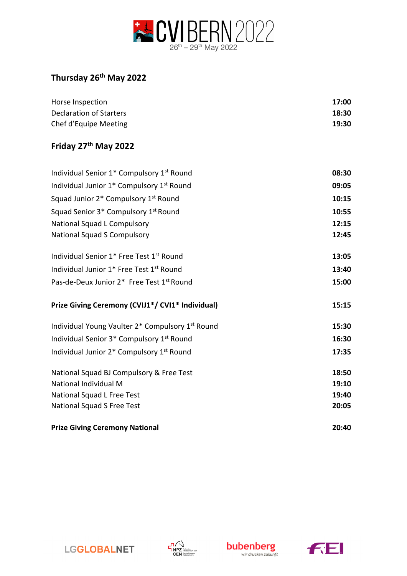

## **Thursday 26th May 2022**

| Horse Inspection        | 17:00 |
|-------------------------|-------|
| Declaration of Starters | 18:30 |
| Chef d'Equipe Meeting   | 19:30 |

## **Friday 27th May 2022**

| Individual Senior 1* Compulsory 1st Round             | 08:30 |
|-------------------------------------------------------|-------|
| Individual Junior 1* Compulsory 1st Round             | 09:05 |
| Squad Junior 2* Compulsory 1 <sup>st</sup> Round      | 10:15 |
| Squad Senior 3* Compulsory 1 <sup>st</sup> Round      | 10:55 |
| National Squad L Compulsory                           | 12:15 |
| <b>National Squad S Compulsory</b>                    | 12:45 |
| Individual Senior 1* Free Test 1st Round              | 13:05 |
| Individual Junior 1* Free Test 1st Round              | 13:40 |
| Pas-de-Deux Junior 2* Free Test 1st Round             | 15:00 |
| Prize Giving Ceremony (CVIJ1*/ CVI1* Individual)      | 15:15 |
| Individual Young Vaulter 2* Compulsory 1st Round      | 15:30 |
| Individual Senior 3* Compulsory 1st Round             | 16:30 |
| Individual Junior 2* Compulsory 1 <sup>st</sup> Round | 17:35 |
| National Squad BJ Compulsory & Free Test              | 18:50 |
| National Individual M                                 | 19:10 |
| National Squad L Free Test                            | 19:40 |
| National Squad S Free Test                            | 20:05 |
| <b>Prize Giving Ceremony National</b>                 | 20:40 |